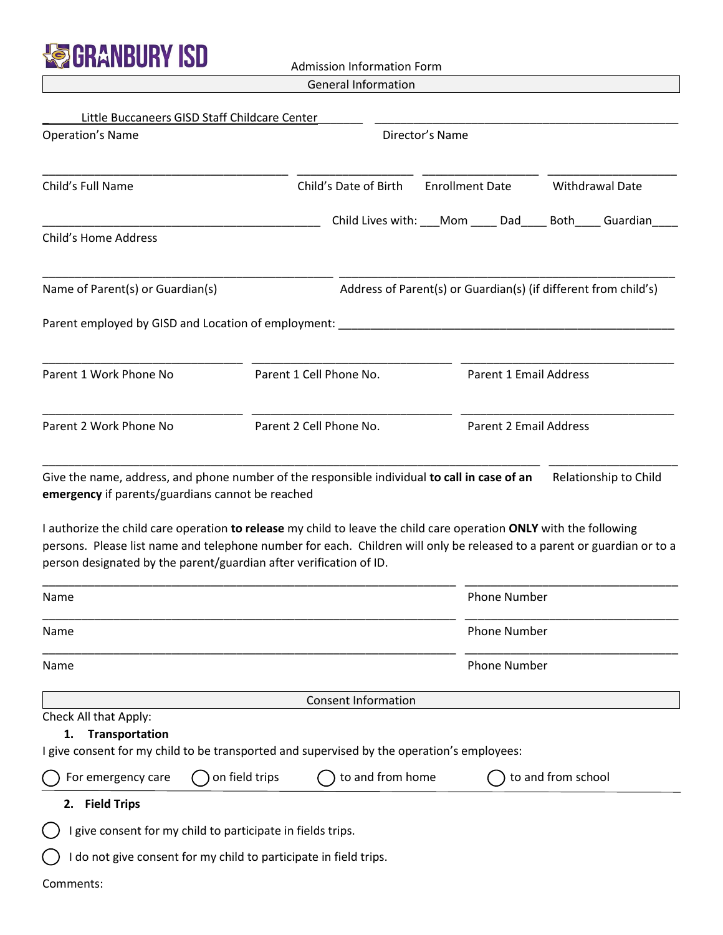

Little Buccaneers GISD Staff Childcare Center

Admission Information Form

General Information

| <b>Operation's Name</b>                                                                                                                                                                                                                                                                                                     | Director's Name                    |                                                            |                                                                 |  |  |
|-----------------------------------------------------------------------------------------------------------------------------------------------------------------------------------------------------------------------------------------------------------------------------------------------------------------------------|------------------------------------|------------------------------------------------------------|-----------------------------------------------------------------|--|--|
| Child's Full Name                                                                                                                                                                                                                                                                                                           | Child's Date of Birth              | <b>Enrollment Date</b>                                     | Withdrawal Date                                                 |  |  |
| <b>Child's Home Address</b>                                                                                                                                                                                                                                                                                                 |                                    | Child Lives with: ___Mom _____ Dad_____ Both_____ Guardian |                                                                 |  |  |
|                                                                                                                                                                                                                                                                                                                             |                                    |                                                            |                                                                 |  |  |
| Name of Parent(s) or Guardian(s)                                                                                                                                                                                                                                                                                            |                                    |                                                            | Address of Parent(s) or Guardian(s) (if different from child's) |  |  |
| Parent employed by GISD and Location of employment: _____________________________                                                                                                                                                                                                                                           |                                    |                                                            |                                                                 |  |  |
| Parent 1 Work Phone No                                                                                                                                                                                                                                                                                                      | Parent 1 Cell Phone No.            |                                                            | <b>Parent 1 Email Address</b>                                   |  |  |
| Parent 2 Work Phone No                                                                                                                                                                                                                                                                                                      | Parent 2 Cell Phone No.            |                                                            | <b>Parent 2 Email Address</b>                                   |  |  |
| I authorize the child care operation to release my child to leave the child care operation ONLY with the following<br>persons. Please list name and telephone number for each. Children will only be released to a parent or guardian or to a<br>person designated by the parent/guardian after verification of ID.<br>Name |                                    | <b>Phone Number</b>                                        |                                                                 |  |  |
| Name                                                                                                                                                                                                                                                                                                                        |                                    | <b>Phone Number</b>                                        |                                                                 |  |  |
| Name                                                                                                                                                                                                                                                                                                                        |                                    | <b>Phone Number</b>                                        |                                                                 |  |  |
|                                                                                                                                                                                                                                                                                                                             | <b>Consent Information</b>         |                                                            |                                                                 |  |  |
| Check All that Apply:<br>Transportation<br>1.<br>I give consent for my child to be transported and supervised by the operation's employees:                                                                                                                                                                                 |                                    |                                                            |                                                                 |  |  |
| For emergency care                                                                                                                                                                                                                                                                                                          | to and from home<br>on field trips |                                                            | to and from school                                              |  |  |
| 2. Field Trips                                                                                                                                                                                                                                                                                                              |                                    |                                                            |                                                                 |  |  |
| I give consent for my child to participate in fields trips.                                                                                                                                                                                                                                                                 |                                    |                                                            |                                                                 |  |  |
| I do not give consent for my child to participate in field trips.                                                                                                                                                                                                                                                           |                                    |                                                            |                                                                 |  |  |
| Comments:                                                                                                                                                                                                                                                                                                                   |                                    |                                                            |                                                                 |  |  |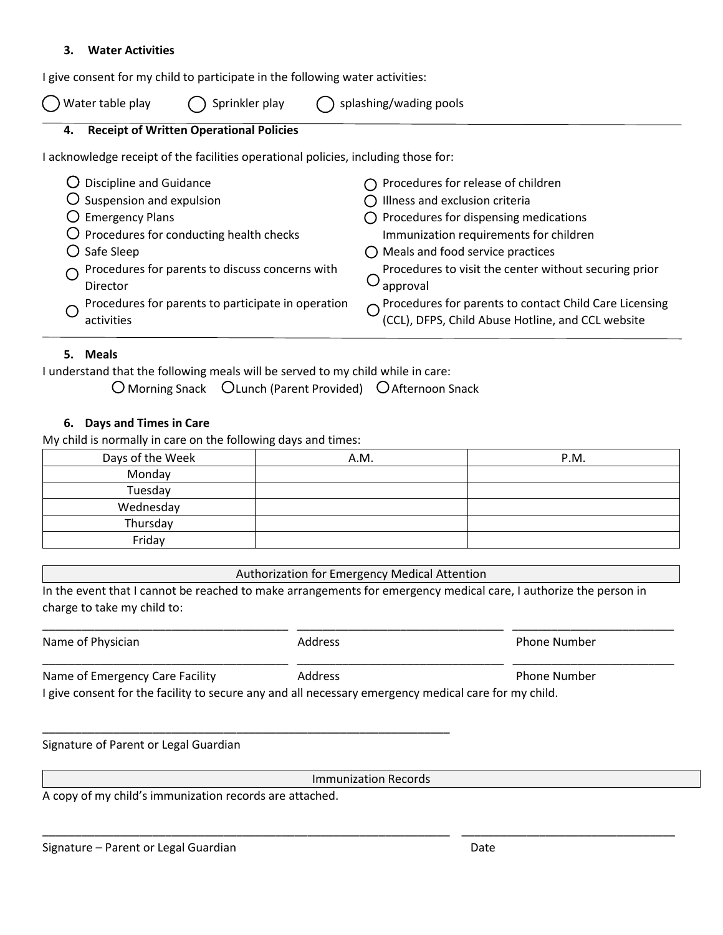## **3. Water Activities**

I give consent for my child to participate in the following water activities:

Water table play  $\bigcap$  Sprinkler play

|  | $\bigcirc$ splashing/wading pools |  |  |
|--|-----------------------------------|--|--|
|--|-----------------------------------|--|--|

## **4. Receipt of Written Operational Policies**

I acknowledge receipt of the facilities operational policies, including those for:

| $\bigcirc$ Discipline and Guidance                 | $\bigcap$ Procedures for release of children                                                                  |
|----------------------------------------------------|---------------------------------------------------------------------------------------------------------------|
| $\overline{O}$ Suspension and expulsion            | $\bigcap$ Illness and exclusion criteria                                                                      |
| $\bigcirc$ Emergency Plans                         | $\bigcirc$ Procedures for dispensing medications                                                              |
| $\bigcirc$ Procedures for conducting health checks | Immunization requirements for children                                                                        |
| $\bigcirc$ Safe Sleep                              | $\bigcirc$ Meals and food service practices                                                                   |
| Procedures for parents to discuss concerns with    | Procedures to visit the center without securing prior                                                         |
| Director                                           | approval                                                                                                      |
| Procedures for parents to participate in operation | O Procedures for parents to contact Child Care Licensing<br>(CCL), DFPS, Child Abuse Hotline, and CCL website |
| activities                                         |                                                                                                               |

## **5. Meals**

I understand that the following meals will be served to my child while in care:

O Morning Snack OLunch (Parent Provided) O Afternoon Snack

## **6. Days and Times in Care**

My child is normally in care on the following days and times:

| Days of the Week | A.M. | P.M. |
|------------------|------|------|
| Monday           |      |      |
| Tuesday          |      |      |
| Wednesday        |      |      |
| Thursday         |      |      |
| Friday           |      |      |

| <b>Authorization for Emergency Medical Attention</b> |  |
|------------------------------------------------------|--|
|------------------------------------------------------|--|

In the event that I cannot be reached to make arrangements for emergency medical care, I authorize the person in charge to take my child to:

Immunization Records

\_\_\_\_\_\_\_\_\_\_\_\_\_\_\_\_\_\_\_\_\_\_\_\_\_\_\_\_\_\_\_\_\_\_\_\_\_\_\_\_\_\_\_\_\_\_\_\_\_\_\_\_\_\_\_\_\_\_\_\_\_\_\_ \_\_\_\_\_\_\_\_\_\_\_\_\_\_\_\_\_\_\_\_\_\_\_\_\_\_\_\_\_\_\_\_\_

A copy of my child's immunization records are attached.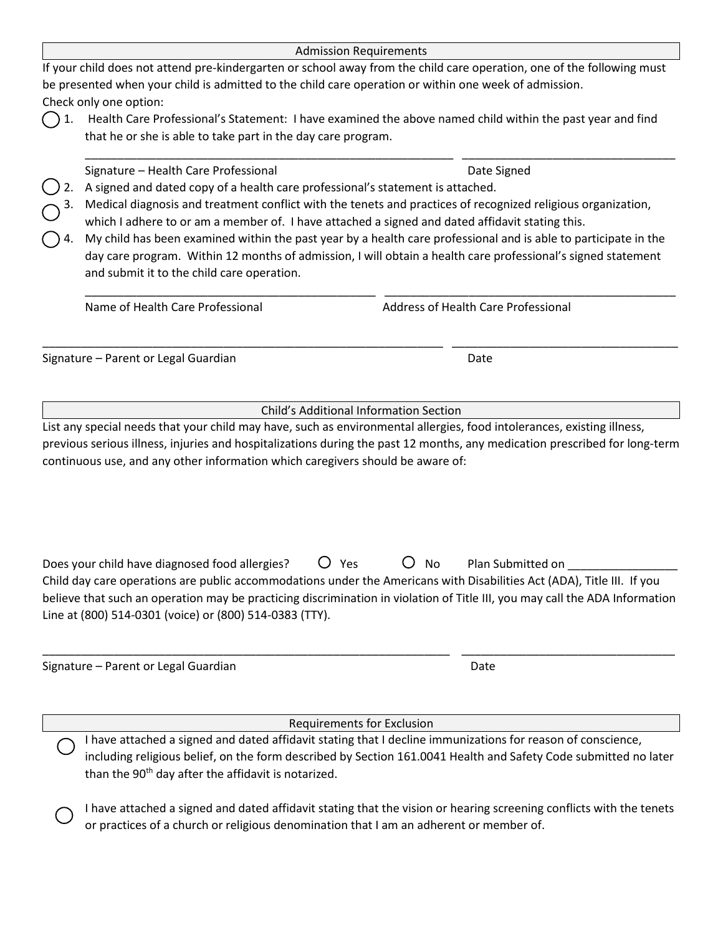| <b>Admission Requirements</b>                                                                                          |
|------------------------------------------------------------------------------------------------------------------------|
| If your child does not attend pre-kindergarten or school away from the child care operation, one of the following must |
| be presented when your child is admitted to the child care operation or within one week of admission.                  |
| Check only one option:                                                                                                 |

1. Health Care Professional's Statement: I have examined the above named child within the past year and find that he or she is able to take part in the day care program.

\_\_\_\_\_\_\_\_\_\_\_\_\_\_\_\_\_\_\_\_\_\_\_\_\_\_\_\_\_\_\_\_\_\_\_\_\_\_\_\_\_\_\_\_\_\_\_\_\_\_\_\_\_\_\_\_\_ \_\_\_\_\_\_\_\_\_\_\_\_\_\_\_\_\_\_\_\_\_\_\_\_\_\_\_\_\_\_\_\_\_

\_\_\_\_\_\_\_\_\_\_\_\_\_\_\_\_\_\_\_\_\_\_\_\_\_\_\_\_\_\_\_\_\_\_\_\_\_\_\_\_\_\_\_\_\_ \_\_\_\_\_\_\_\_\_\_\_\_\_\_\_\_\_\_\_\_\_\_\_\_\_\_\_\_\_\_\_\_\_\_\_\_\_\_\_\_\_\_\_\_\_

Signature – Health Care Professional Date Signed Date Signed

- 2. A signed and dated copy of a health care professional's statement is attached.
- 3. Medical diagnosis and treatment conflict with the tenets and practices of recognized religious organization, which I adhere to or am a member of. I have attached a signed and dated affidavit stating this.
- My child has been examined within the past year by a health care professional and is able to participate in the day care program. Within 12 months of admission, I will obtain a health care professional's signed statement and submit it to the child care operation.

Name of Health Care Professional **Address of Health Care Professional** 

Signature – Parent or Legal Guardian Date Date Controller and Date Date Date Date

Child's Additional Information Section

\_\_\_\_\_\_\_\_\_\_\_\_\_\_\_\_\_\_\_\_\_\_\_\_\_\_\_\_\_\_\_\_\_\_\_\_\_\_\_\_\_\_\_\_\_\_\_\_\_\_\_\_\_\_\_\_\_\_\_\_\_\_ \_\_\_\_\_\_\_\_\_\_\_\_\_\_\_\_\_\_\_\_\_\_\_\_\_\_\_\_\_\_\_\_\_\_\_

List any special needs that your child may have, such as environmental allergies, food intolerances, existing illness, previous serious illness, injuries and hospitalizations during the past 12 months, any medication prescribed for long-term continuous use, and any other information which caregivers should be aware of:

| Does your child have diagnosed food allergies?                                                                              |  | $O$ Yes | $O$ No | Plan Submitted on |
|-----------------------------------------------------------------------------------------------------------------------------|--|---------|--------|-------------------|
| Child day care operations are public accommodations under the Americans with Disabilities Act (ADA), Title III. If you      |  |         |        |                   |
| believe that such an operation may be practicing discrimination in violation of Title III, you may call the ADA Information |  |         |        |                   |
| Line at (800) 514-0301 (voice) or (800) 514-0383 (TTY).                                                                     |  |         |        |                   |

\_\_\_\_\_\_\_\_\_\_\_\_\_\_\_\_\_\_\_\_\_\_\_\_\_\_\_\_\_\_\_\_\_\_\_\_\_\_\_\_\_\_\_\_\_\_\_\_\_\_\_\_\_\_\_\_\_\_\_\_\_\_\_ \_\_\_\_\_\_\_\_\_\_\_\_\_\_\_\_\_\_\_\_\_\_\_\_\_\_\_\_\_\_\_\_\_

Signature – Parent or Legal Guardian Date Date Controller and Date Date Date Date

Requirements for Exclusion

- I have attached a signed and dated affidavit stating that I decline immunizations for reason of conscience, including religious belief, on the form described by Section 161.0041 Health and Safety Code submitted no later than the 90<sup>th</sup> day after the affidavit is notarized.
	- I have attached a signed and dated affidavit stating that the vision or hearing screening conflicts with the tenets or practices of a church or religious denomination that I am an adherent or member of.